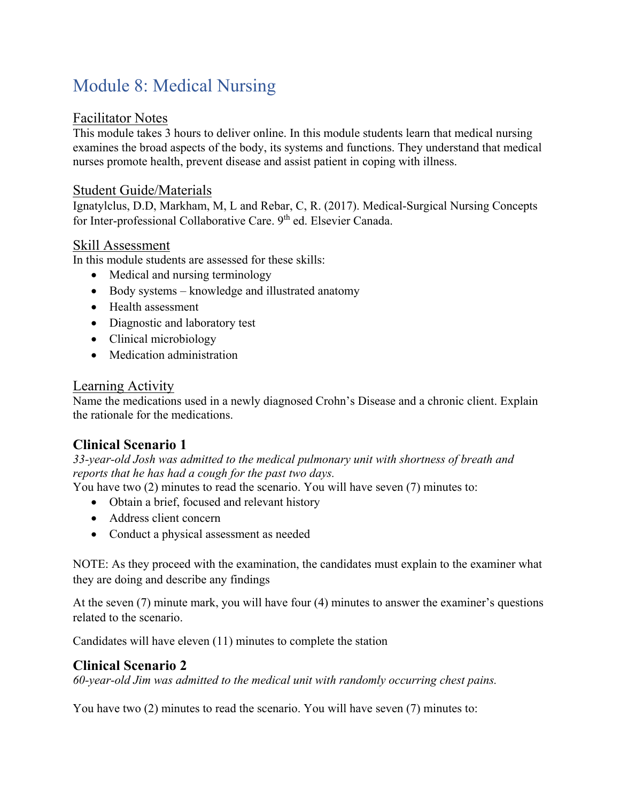# Module 8: Medical Nursing

#### Facilitator Notes

This module takes 3 hours to deliver online. In this module students learn that medical nursing examines the broad aspects of the body, its systems and functions. They understand that medical nurses promote health, prevent disease and assist patient in coping with illness.

#### Student Guide/Materials

Ignatylclus, D.D, Markham, M, L and Rebar, C, R. (2017). Medical-Surgical Nursing Concepts for Inter-professional Collaborative Care. 9<sup>th</sup> ed. Elsevier Canada.

#### Skill Assessment

In this module students are assessed for these skills:

- Medical and nursing terminology
- Body systems knowledge and illustrated anatomy
- Health assessment
- Diagnostic and laboratory test
- Clinical microbiology
- Medication administration

#### Learning Activity

Name the medications used in a newly diagnosed Crohn's Disease and a chronic client. Explain the rationale for the medications.

## **Clinical Scenario 1**

*33-year-old Josh was admitted to the medical pulmonary unit with shortness of breath and reports that he has had a cough for the past two days.* 

You have two (2) minutes to read the scenario. You will have seven (7) minutes to:

- Obtain a brief, focused and relevant history
- Address client concern
- Conduct a physical assessment as needed

NOTE: As they proceed with the examination, the candidates must explain to the examiner what they are doing and describe any findings

At the seven (7) minute mark, you will have four (4) minutes to answer the examiner's questions related to the scenario.

Candidates will have eleven (11) minutes to complete the station

### **Clinical Scenario 2**

*60-year-old Jim was admitted to the medical unit with randomly occurring chest pains.* 

You have two (2) minutes to read the scenario. You will have seven (7) minutes to: